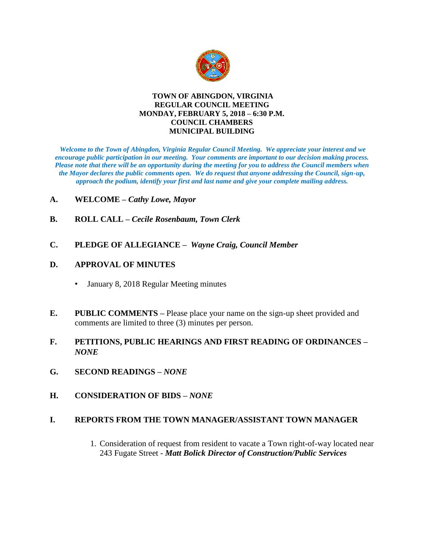

#### **TOWN OF ABINGDON, VIRGINIA REGULAR COUNCIL MEETING MONDAY, FEBRUARY 5, 2018 – 6:30 P.M. COUNCIL CHAMBERS MUNICIPAL BUILDING**

*Welcome to the Town of Abingdon, Virginia Regular Council Meeting. We appreciate your interest and we encourage public participation in our meeting. Your comments are important to our decision making process. Please note that there will be an opportunity during the meeting for you to address the Council members when the Mayor declares the public comments open. We do request that anyone addressing the Council, sign-up, approach the podium, identify your first and last name and give your complete mailing address.* 

### **A. WELCOME –** *Cathy Lowe, Mayor*

- **B. ROLL CALL –** *Cecile Rosenbaum, Town Clerk*
- **C. PLEDGE OF ALLEGIANCE** *Wayne Craig, Council Member*

## **D. APPROVAL OF MINUTES**

- January 8, 2018 Regular Meeting minutes
- **E. PUBLIC COMMENTS –** Please place your name on the sign-up sheet provided and comments are limited to three (3) minutes per person.
- **F. PETITIONS, PUBLIC HEARINGS AND FIRST READING OF ORDINANCES –** *NONE*
- **G. SECOND READINGS –** *NONE*
- **H. CONSIDERATION OF BIDS –** *NONE*

# **I. REPORTS FROM THE TOWN MANAGER/ASSISTANT TOWN MANAGER**

1. Consideration of request from resident to vacate a Town right-of-way located near 243 Fugate Street - *Matt Bolick Director of Construction/Public Services*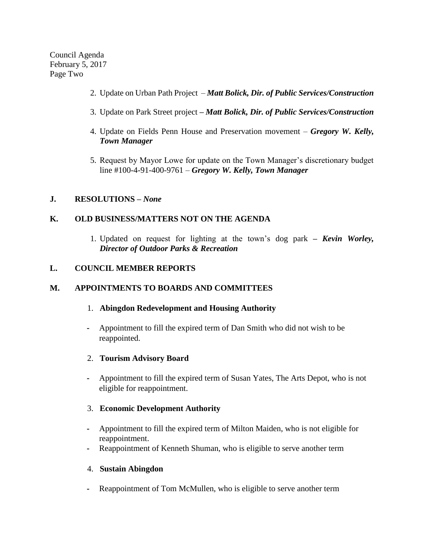Council Agenda February 5, 2017 Page Two

- 2. Update on Urban Path Project *Matt Bolick, Dir. of Public Services/Construction*
- 3. Update on Park Street project *– Matt Bolick, Dir. of Public Services/Construction*
- 4. Update on Fields Penn House and Preservation movement *Gregory W. Kelly, Town Manager*
- 5. Request by Mayor Lowe for update on the Town Manager's discretionary budget line #100-4-91-400-9761 – *Gregory W. Kelly, Town Manager*

### **J. RESOLUTIONS –** *None*

## **K. OLD BUSINESS/MATTERS NOT ON THE AGENDA**

1. Updated on request for lighting at the town's dog park **–** *Kevin Worley, Director of Outdoor Parks & Recreation* 

### **L. COUNCIL MEMBER REPORTS**

### **M. APPOINTMENTS TO BOARDS AND COMMITTEES**

- 1. **Abingdon Redevelopment and Housing Authority**
- **-** Appointment to fill the expired term of Dan Smith who did not wish to be reappointed.
- 2. **Tourism Advisory Board**
- **-** Appointment to fill the expired term of Susan Yates, The Arts Depot, who is not eligible for reappointment.
- 3. **Economic Development Authority**
- **-** Appointment to fill the expired term of Milton Maiden, who is not eligible for reappointment.
- **-** Reappointment of Kenneth Shuman, who is eligible to serve another term

### 4. **Sustain Abingdon**

**-** Reappointment of Tom McMullen, who is eligible to serve another term